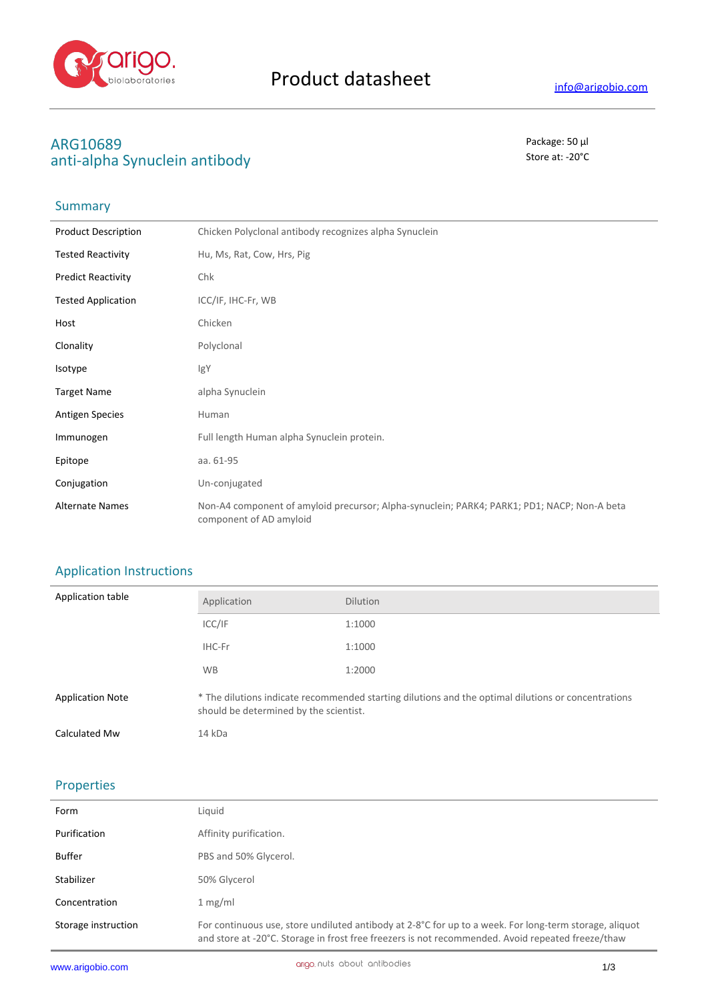

# **ARG10689** Package: 50 μl anti-alpha Synuclein antibody and state at  $\sim$  20<sup>°C</sup>

## **Summary**

| <b>Product Description</b> | Chicken Polyclonal antibody recognizes alpha Synuclein                                                                 |
|----------------------------|------------------------------------------------------------------------------------------------------------------------|
| <b>Tested Reactivity</b>   | Hu, Ms, Rat, Cow, Hrs, Pig                                                                                             |
| <b>Predict Reactivity</b>  | Chk                                                                                                                    |
| <b>Tested Application</b>  | ICC/IF, IHC-Fr, WB                                                                                                     |
| Host                       | Chicken                                                                                                                |
| Clonality                  | Polyclonal                                                                                                             |
| Isotype                    | IgY                                                                                                                    |
| <b>Target Name</b>         | alpha Synuclein                                                                                                        |
| <b>Antigen Species</b>     | Human                                                                                                                  |
| Immunogen                  | Full length Human alpha Synuclein protein.                                                                             |
| Epitope                    | aa. 61-95                                                                                                              |
| Conjugation                | Un-conjugated                                                                                                          |
| <b>Alternate Names</b>     | Non-A4 component of amyloid precursor; Alpha-synuclein; PARK4; PARK1; PD1; NACP; Non-A beta<br>component of AD amyloid |

# Application Instructions

| Application table       | Application                                                                                                                                   | <b>Dilution</b> |
|-------------------------|-----------------------------------------------------------------------------------------------------------------------------------------------|-----------------|
|                         | ICC/IF                                                                                                                                        | 1:1000          |
|                         | IHC-Fr                                                                                                                                        | 1:1000          |
|                         | <b>WB</b>                                                                                                                                     | 1:2000          |
| <b>Application Note</b> | * The dilutions indicate recommended starting dilutions and the optimal dilutions or concentrations<br>should be determined by the scientist. |                 |
| Calculated Mw           | 14 kDa                                                                                                                                        |                 |

### Properties

| Form                | Liquid                                                                                                                                                                                                      |
|---------------------|-------------------------------------------------------------------------------------------------------------------------------------------------------------------------------------------------------------|
| Purification        | Affinity purification.                                                                                                                                                                                      |
| Buffer              | PBS and 50% Glycerol.                                                                                                                                                                                       |
| Stabilizer          | 50% Glycerol                                                                                                                                                                                                |
| Concentration       | 1 mg/ml                                                                                                                                                                                                     |
| Storage instruction | For continuous use, store undiluted antibody at 2-8°C for up to a week. For long-term storage, aliquot<br>and store at -20°C. Storage in frost free freezers is not recommended. Avoid repeated freeze/thaw |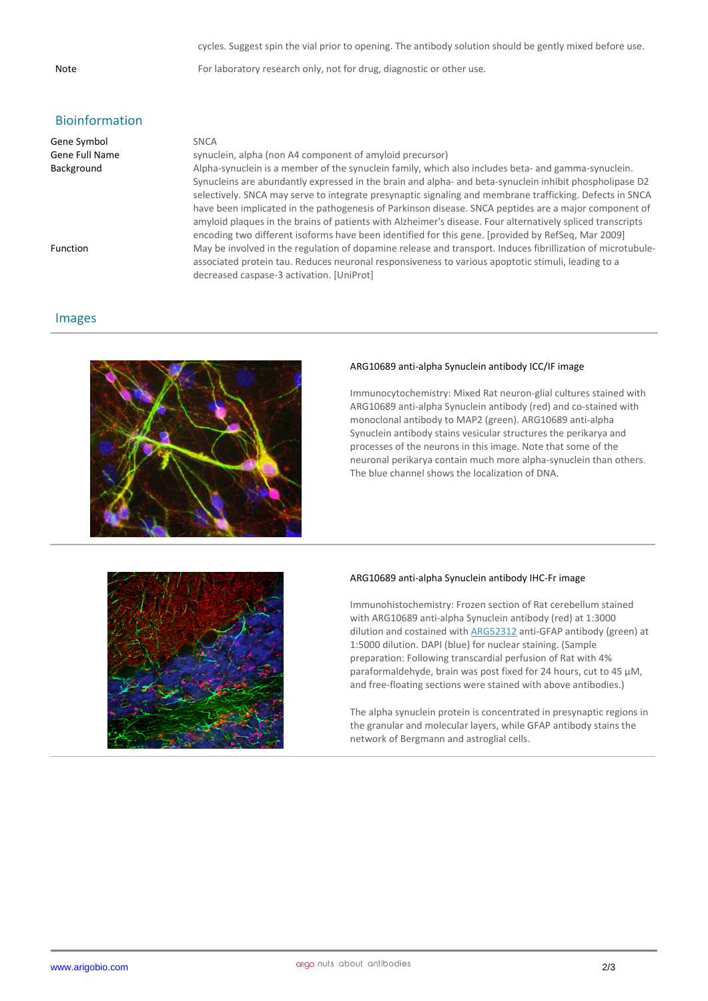cycles. Suggest spin the vial prior to opening. The antibody solution should be gently mixed before use.

Note For laboratory research only, not for drug, diagnostic or other use.

## Bioinformation

| Gene Symbol     | <b>SNCA</b>                                                                                                 |
|-----------------|-------------------------------------------------------------------------------------------------------------|
| Gene Full Name  | synuclein, alpha (non A4 component of amyloid precursor)                                                    |
| Background      | Alpha-synuclein is a member of the synuclein family, which also includes beta- and gamma-synuclein.         |
|                 | Synucleins are abundantly expressed in the brain and alpha- and beta-synuclein inhibit phospholipase D2     |
|                 | selectively. SNCA may serve to integrate presynaptic signaling and membrane trafficking. Defects in SNCA    |
|                 | have been implicated in the pathogenesis of Parkinson disease. SNCA peptides are a major component of       |
|                 | amyloid plagues in the brains of patients with Alzheimer's disease. Four alternatively spliced transcripts  |
|                 | encoding two different isoforms have been identified for this gene. [provided by RefSeq, Mar 2009]          |
| <b>Function</b> | May be involved in the regulation of dopamine release and transport. Induces fibrillization of microtubule- |
|                 | associated protein tau. Reduces neuronal responsiveness to various apoptotic stimuli, leading to a          |
|                 | decreased caspase-3 activation. [UniProt]                                                                   |

### Images



#### **ARG10689 anti-alpha Synuclein antibody ICC/IF image**

Immunocytochemistry: Mixed Rat neuron-glial cultures stained with ARG10689 anti-alpha Synuclein antibody (red) and co-stained with monoclonal antibody to MAP2 (green). ARG10689 anti-alpha Synuclein antibody stains vesicular structures the perikarya and processes of the neurons in this image. Note that some of the neuronal perikarya contain much more alpha-synuclein than others. The blue channel shows the localization of DNA.



### **ARG10689 anti-alpha Synuclein antibody IHC-Fr image**

Immunohistochemistry: Frozen section of Rat cerebellum stained with ARG10689 anti-alpha Synuclein antibody (red) at 1:3000 dilution and costained with ARG52312 anti-GFAP antibody (green) at 1:5000 dilution. DAPI (blue) for nuclear staining. (Sample preparation: Following transcardial perfusion of Rat with 4% paraformaldehyde, brain was post fixed for 24 hours, cut to 45 µM, and free-floating sections were stained with above antibodies.)

The alpha synuclein protein is concentrated in presynaptic regions in the granular and molecular layers, while GFAP antibody stains the network of Bergmann and astroglial cells.